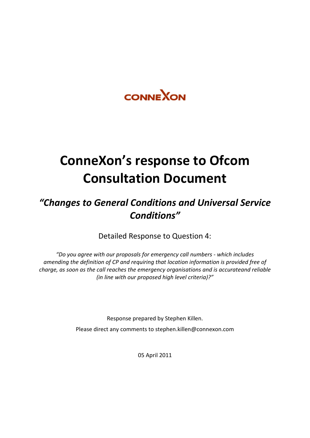

# **ConneXon's response to Ofcom Consultation Document**

# *"Changes to General Conditions and Universal Service Conditions"*

Detailed Response to Question 4:

*"Do you agree with our proposals for emergency call numbers - which includes amending the definition of CP and requiring that location information is provided free of charge, as soon as the call reaches the emergency organisations and is accurateand reliable (in line with our proposed high level criteria)?"*

> Response prepared by Stephen Killen. Please direct any comments to stephen.killen@connexon.com

> > 05 April 2011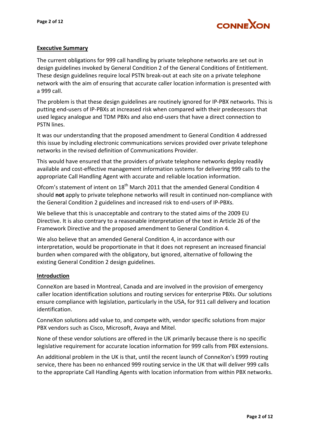

#### **Executive Summary**

The current obligations for 999 call handling by private telephone networks are set out in design guidelines invoked by General Condition 2 of the General Conditions of Entitlement. These design guidelines require local PSTN break-out at each site on a private telephone network with the aim of ensuring that accurate caller location information is presented with a 999 call.

The problem is that these design guidelines are routinely ignored for IP-PBX networks. This is putting end-users of IP-PBXs at increased risk when compared with their predecessors that used legacy analogue and TDM PBXs and also end-users that have a direct connection to PSTN lines.

It was our understanding that the proposed amendment to General Condition 4 addressed this issue by including electronic communications services provided over private telephone networks in the revised definition of Communications Provider.

This would have ensured that the providers of private telephone networks deploy readily available and cost-effective management information systems for delivering 999 calls to the appropriate Call Handling Agent with accurate and reliable location information.

Ofcom's statement of intent on 18<sup>th</sup> March 2011 that the amended General Condition 4 should **not** apply to private telephone networks will result in continued non-compliance with the General Condition 2 guidelines and increased risk to end-users of IP-PBXs.

We believe that this is unacceptable and contrary to the stated aims of the 2009 EU Directive. It is also contrary to a reasonable interpretation of the text in Article 26 of the Framework Directive and the proposed amendment to General Condition 4.

We also believe that an amended General Condition 4, in accordance with our interpretation, would be proportionate in that it does not represent an increased financial burden when compared with the obligatory, but ignored, alternative of following the existing General Condition 2 design guidelines.

#### **Introduction**

ConneXon are based in Montreal, Canada and are involved in the provision of emergency caller location identification solutions and routing services for enterprise PBXs. Our solutions ensure compliance with legislation, particularly in the USA, for 911 call delivery and location identification.

ConneXon solutions add value to, and compete with, vendor specific solutions from major PBX vendors such as Cisco, Microsoft, Avaya and Mitel.

None of these vendor solutions are offered in the UK primarily because there is no specific legislative requirement for accurate location information for 999 calls from PBX extensions.

An additional problem in the UK is that, until the recent launch of ConneXon's E999 routing service, there has been no enhanced 999 routing service in the UK that will deliver 999 calls to the appropriate Call Handling Agents with location information from within PBX networks.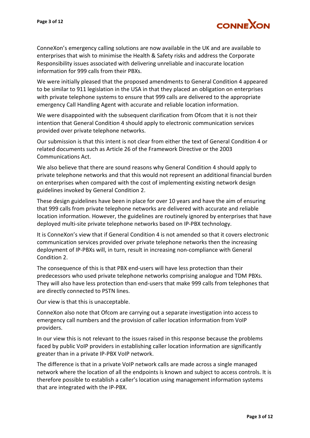

ConneXon's emergency calling solutions are now available in the UK and are available to enterprises that wish to minimise the Health & Safety risks and address the Corporate Responsibility issues associated with delivering unreliable and inaccurate location information for 999 calls from their PBXs.

We were initially pleased that the proposed amendments to General Condition 4 appeared to be similar to 911 legislation in the USA in that they placed an obligation on enterprises with private telephone systems to ensure that 999 calls are delivered to the appropriate emergency Call Handling Agent with accurate and reliable location information.

We were disappointed with the subsequent clarification from Ofcom that it is not their intention that General Condition 4 should apply to electronic communication services provided over private telephone networks.

Our submission is that this intent is not clear from either the text of General Condition 4 or related documents such as Article 26 of the Framework Directive or the 2003 Communications Act.

We also believe that there are sound reasons why General Condition 4 should apply to private telephone networks and that this would not represent an additional financial burden on enterprises when compared with the cost of implementing existing network design guidelines invoked by General Condition 2.

These design guidelines have been in place for over 10 years and have the aim of ensuring that 999 calls from private telephone networks are delivered with accurate and reliable location information. However, the guidelines are routinely ignored by enterprises that have deployed multi-site private telephone networks based on IP-PBX technology.

It is ConneXon's view that if General Condition 4 is not amended so that it covers electronic communication services provided over private telephone networks then the increasing deployment of IP-PBXs will, in turn, result in increasing non-compliance with General Condition 2.

The consequence of this is that PBX end-users will have less protection than their predecessors who used private telephone networks comprising analogue and TDM PBXs. They will also have less protection than end-users that make 999 calls from telephones that are directly connected to PSTN lines.

Our view is that this is unacceptable.

ConneXon also note that Ofcom are carrying out a separate investigation into access to emergency call numbers and the provision of caller location information from VoIP providers.

In our view this is not relevant to the issues raised in this response because the problems faced by public VoIP providers in establishing caller location information are significantly greater than in a private IP-PBX VoIP network.

The difference is that in a private VoIP network calls are made across a single managed network where the location of all the endpoints is known and subject to access controls. It is therefore possible to establish a caller's location using management information systems that are integrated with the IP-PBX.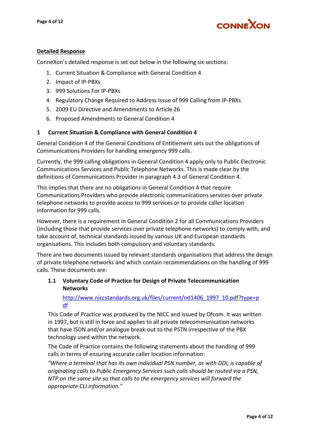

# **Detailed Response**

ConneXon's detailed response is set out below in the following six sections:

- 1. Current Situation & Compliance with General Condition 4
- 2. Impact of IP-PBXs
- 3. 999 Solutions For IP-PBXs
- 4. Regulatory Change Required to Address Issue of 999 Calling from IP-PBXs
- 5. 2009 EU Directive and Amendments to Article 26
- 6. Proposed Amendments to General Condition 4

# **1 Current Situation & Compliance with General Condition 4**

General Condition 4 of the General Conditions of Entitlement sets out the obligations of Communications Providers for handling emergency 999 calls.

Currently, the 999 calling obligations in General Condition 4 apply only to Public Electronic Communications Services and Public Telephone Networks. This is made clear by the definitions of Communications Provider in paragraph 4.3 of General Condition 4.

This implies that there are no obligations in General Condition 4 that require Communications Providers who provide electronic communications services over private telephone networks to provide access to 999 services or to provide caller location information for 999 calls.

However, there is a requirement in General Condition 2 for all Communications Providers (including those that provide services over private telephone networks) to comply with, and take account of, technical standards issued by various UK and European standards organisations. This includes both compulsory and voluntary standards.

There are two documents issued by relevant standards organisations that address the design of private telephone networks and which contain recommendations on the handling of 999 calls. These documents are:

# **1.1 Voluntary Code of Practice for Design of Private Telecommunication Networks**

[http://www.niccstandards.org.uk/files/current/nd1406\\_1997\\_10.pdf?type=p](http://www.niccstandards.org.uk/files/current/nd1406_1997_10.pdf?type=pdf) [df](http://www.niccstandards.org.uk/files/current/nd1406_1997_10.pdf?type=pdf)

This Code of Practice was produced by the NICC and issued by Ofcom. It was written in 1997, but is still in force and applies to all private telecommunication networks that have ISDN and/or analogue break-out to the PSTN irrespective of the PBX technology used within the network.

The Code of Practice contains the following statements about the handling of 999 calls in terms of ensuring accurate caller location information:

*"Where a terminal that has its own individual PSN number, as with DDI, is capable of originating calls to Public Emergency Services such calls should be routed via a PSN, NTP on the same site so that calls to the emergency services will forward the appropriate CLI information."*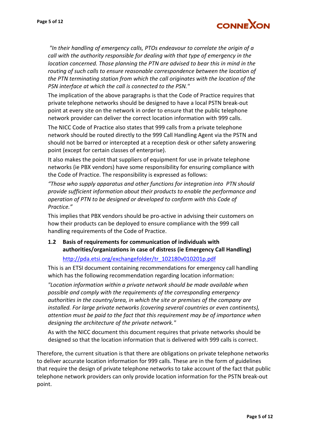

*"In their handling of emergency calls, PTOs endeavour to correlate the origin of a call with the authority responsible for dealing with that type of emergency in the location concerned. Those planning the PTN are advised to bear this in mind in the routing of such calls to ensure reasonable correspondence between the location of the PTN terminating station from which the call originates with the location of the PSN interface at which the call is connected to the PSN."*

The implication of the above paragraphs is that the Code of Practice requires that private telephone networks should be designed to have a local PSTN break-out point at every site on the network in order to ensure that the public telephone network provider can deliver the correct location information with 999 calls.

The NICC Code of Practice also states that 999 calls from a private telephone network should be routed directly to the 999 Call Handling Agent via the PSTN and should not be barred or intercepted at a reception desk or other safety answering point (except for certain classes of enterprise).

It also makes the point that suppliers of equipment for use in private telephone networks (ie PBX vendors) have some responsibility for ensuring compliance with the Code of Practice. The responsibility is expressed as follows:

*"Those who supply apparatus and other functions for integration into PTN should provide sufficient information about their products to enable the performance and operation of PTN to be designed or developed to conform with this Code of Practice."*

This implies that PBX vendors should be pro-active in advising their customers on how their products can be deployed to ensure compliance with the 999 call handling requirements of the Code of Practice.

# **1.2 Basis of requirements for communication of individuals with authorities/organizations in case of distress (ie Emergency Call Handling)**

#### [http://pda.etsi.org/exchangefolder/tr\\_102180v010201p.pdf](http://pda.etsi.org/exchangefolder/tr_102180v010201p.pdf)

This is an ETSI document containing recommendations for emergency call handling which has the following recommendation regarding location information:

*"Location information within a private network should be made available when possible and comply with the requirements of the corresponding emergency authorities in the country/area, in which the site or premises of the company are installed. For large private networks (covering several countries or even continents), attention must be paid to the fact that this requirement may be of importance when designing the architecture of the private network."*

As with the NICC document this document requires that private networks should be designed so that the location information that is delivered with 999 calls is correct.

Therefore, the current situation is that there are obligations on private telephone networks to deliver accurate location information for 999 calls. These are in the form of guidelines that require the design of private telephone networks to take account of the fact that public telephone network providers can only provide location information for the PSTN break-out point.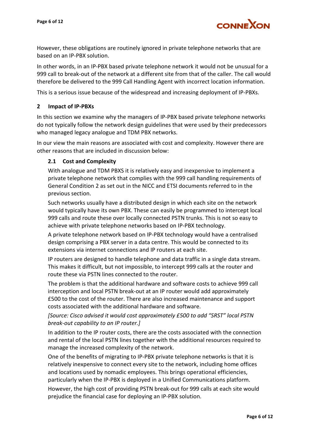

However, these obligations are routinely ignored in private telephone networks that are based on an IP-PBX solution.

In other words, in an IP-PBX based private telephone network it would not be unusual for a 999 call to break-out of the network at a different site from that of the caller. The call would therefore be delivered to the 999 Call Handling Agent with incorrect location information.

This is a serious issue because of the widespread and increasing deployment of IP-PBXs.

#### **2 Impact of IP-PBXs**

In this section we examine why the managers of IP-PBX based private telephone networks do not typically follow the network design guidelines that were used by their predecessors who managed legacy analogue and TDM PBX networks.

In our view the main reasons are associated with cost and complexity. However there are other reasons that are included in discussion below:

#### **2.1 Cost and Complexity**

With analogue and TDM PBXS it is relatively easy and inexpensive to implement a private telephone network that complies with the 999 call handling requirements of General Condition 2 as set out in the NICC and ETSI documents referred to in the previous section.

Such networks usually have a distributed design in which each site on the network would typically have its own PBX. These can easily be programmed to intercept local 999 calls and route these over locally connected PSTN trunks. This is not so easy to achieve with private telephone networks based on IP-PBX technology.

A private telephone network based on IP-PBX technology would have a centralised design comprising a PBX server in a data centre. This would be connected to its extensions via internet connections and IP routers at each site.

IP routers are designed to handle telephone and data traffic in a single data stream. This makes it difficult, but not impossible, to intercept 999 calls at the router and route these via PSTN lines connected to the router.

The problem is that the additional hardware and software costs to achieve 999 call interception and local PSTN break-out at an IP router would add approximately £500 to the cost of the router. There are also increased maintenance and support costs associated with the additional hardware and software.

# *[Source: Cisco advised it would cost approximately £500 to add "SRST" local PSTN break-out capability to an IP router.]*

In addition to the IP router costs, there are the costs associated with the connection and rental of the local PSTN lines together with the additional resources required to manage the increased complexity of the network.

One of the benefits of migrating to IP-PBX private telephone networks is that it is relatively inexpensive to connect every site to the network, including home offices and locations used by nomadic employees. This brings operational efficiencies, particularly when the IP-PBX is deployed in a Unified Communications platform.

However, the high cost of providing PSTN break-out for 999 calls at each site would prejudice the financial case for deploying an IP-PBX solution.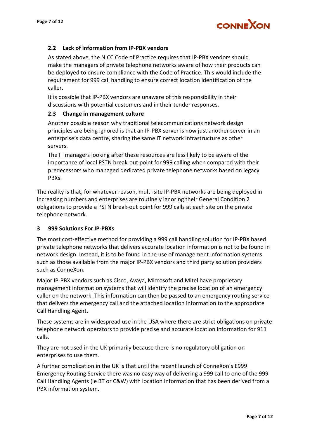

#### **2.2 Lack of information from IP-PBX vendors**

As stated above, the NICC Code of Practice requires that IP-PBX vendors should make the managers of private telephone networks aware of how their products can be deployed to ensure compliance with the Code of Practice. This would include the requirement for 999 call handling to ensure correct location identification of the caller.

It is possible that IP-PBX vendors are unaware of this responsibility in their discussions with potential customers and in their tender responses.

#### **2.3 Change in management culture**

Another possible reason why traditional telecommunications network design principles are being ignored is that an IP-PBX server is now just another server in an enterprise's data centre, sharing the same IT network infrastructure as other servers.

The IT managers looking after these resources are less likely to be aware of the importance of local PSTN break-out point for 999 calling when compared with their predecessors who managed dedicated private telephone networks based on legacy PBXs.

The reality is that, for whatever reason, multi-site IP-PBX networks are being deployed in increasing numbers and enterprises are routinely ignoring their General Condition 2 obligations to provide a PSTN break-out point for 999 calls at each site on the private telephone network.

#### **3 999 Solutions For IP-PBXs**

The most cost-effective method for providing a 999 call handling solution for IP-PBX based private telephone networks that delivers accurate location information is not to be found in network design. Instead, it is to be found in the use of management information systems such as those available from the major IP-PBX vendors and third party solution providers such as ConneXon.

Major IP-PBX vendors such as Cisco, Avaya, Microsoft and Mitel have proprietary management information systems that will identify the precise location of an emergency caller on the network. This information can then be passed to an emergency routing service that delivers the emergency call and the attached location information to the appropriate Call Handling Agent.

These systems are in widespread use in the USA where there are strict obligations on private telephone network operators to provide precise and accurate location information for 911 calls.

They are not used in the UK primarily because there is no regulatory obligation on enterprises to use them.

A further complication in the UK is that until the recent launch of ConneXon's E999 Emergency Routing Service there was no easy way of delivering a 999 call to one of the 999 Call Handling Agents (ie BT or C&W) with location information that has been derived from a PBX information system.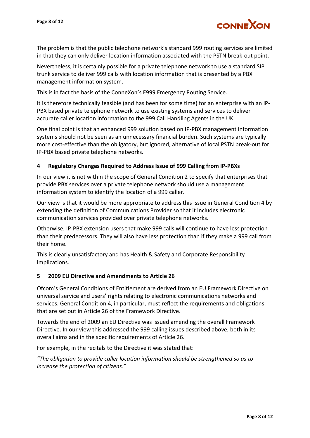

The problem is that the public telephone network's standard 999 routing services are limited in that they can only deliver location information associated with the PSTN break-out point.

Nevertheless, it is certainly possible for a private telephone network to use a standard SIP trunk service to deliver 999 calls with location information that is presented by a PBX management information system.

This is in fact the basis of the ConneXon's E999 Emergency Routing Service.

It is therefore technically feasible (and has been for some time) for an enterprise with an IP-PBX based private telephone network to use existing systems and services to deliver accurate caller location information to the 999 Call Handling Agents in the UK.

One final point is that an enhanced 999 solution based on IP-PBX management information systems should not be seen as an unnecessary financial burden. Such systems are typically more cost-effective than the obligatory, but ignored, alternative of local PSTN break-out for IP-PBX based private telephone networks.

#### **4 Regulatory Changes Required to Address Issue of 999 Calling from IP-PBXs**

In our view it is not within the scope of General Condition 2 to specify that enterprises that provide PBX services over a private telephone network should use a management information system to identify the location of a 999 caller.

Our view is that it would be more appropriate to address this issue in General Condition 4 by extending the definition of Communications Provider so that it includes electronic communication services provided over private telephone networks.

Otherwise, IP-PBX extension users that make 999 calls will continue to have less protection than their predecessors. They will also have less protection than if they make a 999 call from their home.

This is clearly unsatisfactory and has Health & Safety and Corporate Responsibility implications.

#### **5 2009 EU Directive and Amendments to Article 26**

Ofcom's General Conditions of Entitlement are derived from an EU Framework Directive on universal service and users' rights relating to electronic communications networks and services. General Condition 4, in particular, must reflect the requirements and obligations that are set out in Article 26 of the Framework Directive.

Towards the end of 2009 an EU Directive was issued amending the overall Framework Directive. In our view this addressed the 999 calling issues described above, both in its overall aims and in the specific requirements of Article 26.

For example, in the recitals to the Directive it was stated that:

*"The obligation to provide caller location information should be strengthened so as to increase the protection of citizens."*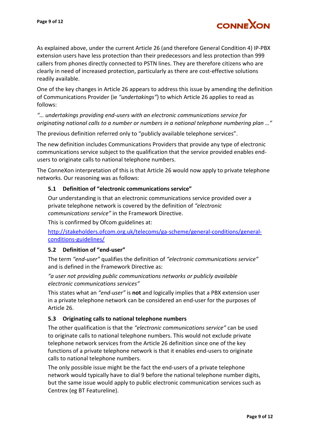

As explained above, under the current Article 26 (and therefore General Condition 4) IP-PBX extension users have less protection than their predecessors and less protection than 999 callers from phones directly connected to PSTN lines. They are therefore citizens who are clearly in need of increased protection, particularly as there are cost-effective solutions readily available.

One of the key changes in Article 26 appears to address this issue by amending the definition of Communications Provider (ie *"undertakings"*) to which Article 26 applies to read as follows:

*"… undertakings providing end-users with an electronic communications service for originating national calls to a number or numbers in a national telephone numbering plan …"*

The previous definition referred only to "publicly available telephone services".

The new definition includes Communications Providers that provide any type of electronic communications service subject to the qualification that the service provided enables endusers to originate calls to national telephone numbers.

The ConneXon interpretation of this is that Article 26 would now apply to private telephone networks. Our reasoning was as follows:

#### **5.1 Definition of "electronic communications service"**

Our understanding is that an electronic communications service provided over a private telephone network is covered by the definition of *"electronic communications service"* in the Framework Directive.

This is confirmed by Ofcom guidelines at:

[http://stakeholders.ofcom.org.uk/telecoms/ga-scheme/general-conditions/general](http://stakeholders.ofcom.org.uk/telecoms/ga-scheme/general-conditions/general-conditions-guidelines/)[conditions-guidelines/](http://stakeholders.ofcom.org.uk/telecoms/ga-scheme/general-conditions/general-conditions-guidelines/)

#### **5.2 Definition of "end-user"**

The term *"end-user"* qualifies the definition of *"electronic communications service"* and is defined in the Framework Directive as:

*"a user not providing public communications networks or publicly available electronic communications services"*

This states what an *"end-user"* is **not** and logically implies that a PBX extension user in a private telephone network can be considered an end-user for the purposes of Article 26.

#### **5.3 Originating calls to national telephone numbers**

The other qualification is that the *"electronic communications service"* can be used to originate calls to national telephone numbers. This would not exclude private telephone network services from the Article 26 definition since one of the key functions of a private telephone network is that it enables end-users to originate calls to national telephone numbers.

The only possible issue might be the fact the end-users of a private telephone network would typically have to dial 9 before the national telephone number digits, but the same issue would apply to public electronic communication services such as Centrex (eg BT Featureline).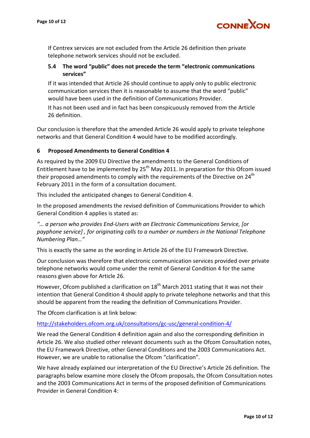

If Centrex services are not excluded from the Article 26 definition then private telephone network services should not be excluded.

# **5.4 The word "public" does not precede the term "electronic communications services"**

If it was intended that Article 26 should continue to apply only to public electronic communication services then it is reasonable to assume that the word "public" would have been used in the definition of Communications Provider.

It has not been used and in fact has been conspicuously removed from the Article 26 definition.

Our conclusion is therefore that the amended Article 26 would apply to private telephone networks and that General Condition 4 would have to be modified accordingly.

# **6 Proposed Amendments to General Condition 4**

As required by the 2009 EU Directive the amendments to the General Conditions of Entitlement have to be implemented by  $25<sup>th</sup>$  May 2011. In preparation for this Ofcom issued their proposed amendments to comply with the requirements of the Directive on 24<sup>th</sup> February 2011 in the form of a consultation document.

This included the anticipated changes to General Condition 4.

In the proposed amendments the revised definition of Communications Provider to which General Condition 4 applies is stated as:

*"… a person who provides End-Users with an Electronic Communications Service, [or payphone service] , for originating calls to a number or numbers in the National Telephone Numbering Plan…"*

This is exactly the same as the wording in Article 26 of the EU Framework Directive.

Our conclusion was therefore that electronic communication services provided over private telephone networks would come under the remit of General Condition 4 for the same reasons given above for Article 26.

However, Ofcom published a clarification on  $18<sup>th</sup>$  March 2011 stating that it was not their intention that General Condition 4 should apply to private telephone networks and that this should be apparent from the reading the definition of Communications Provider.

The Ofcom clarification is at link below:

<http://stakeholders.ofcom.org.uk/consultations/gc-usc/general-condition-4/>

We read the General Condition 4 definition again and also the corresponding definition in Article 26. We also studied other relevant documents such as the Ofcom Consultation notes, the EU Framework Directive, other General Conditions and the 2003 Communications Act. However, we are unable to rationalise the Ofcom "clarification".

We have already explained our interpretation of the EU Directive's Article 26 definition. The paragraphs below examine more closely the Ofcom proposals, the Ofcom Consultation notes and the 2003 Communications Act in terms of the proposed definition of Communications Provider in General Condition 4: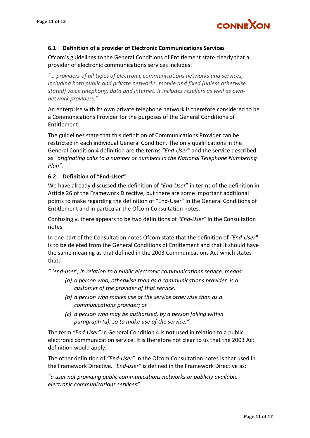

#### **6.1 Definition of a provider of Electronic Communications Services**

Ofcom's guidelines to the General Conditions of Entitlement state clearly that a provider of electronic communications services includes:

*"… providers of all types of electronic communications networks and services, including both public and private networks, mobile and fixed (unless otherwise stated) voice telephony, data and internet. It includes resellers as well as ownnetwork providers."*

An enterprise with its own private telephone network is therefore considered to be a Communications Provider for the purposes of the General Conditions of Entitlement.

The guidelines state that this definition of Communications Provider can be restricted in each individual General Condition. The only qualifications in the General Condition 4 definition are the terms *"End-User"* and the service described as *"originating calls to a number or numbers in the National Telephone Numbering Plan".*

#### **6.2 Definition of "End-User"**

We have already discussed the definition of *"End-User*" in terms of the definition in Article 26 of the Framework Directive, but there are some important additional points to make regarding the definition of "End-User" in the General Conditions of Entitlement and in particular the Ofcom Consultation notes.

Confusingly, there appears to be two definitions of *"End-User"* in the Consultation notes.

In one part of the Consultation notes Ofcom state that the definition of *"End-User"* is to be deleted from the General Conditions of Entitlement and that it should have the same meaning as that defined in the 2003 Communications Act which states that:

*" 'end-user', in relation to a public electronic communications service, means:*

- *(a) a person who, otherwise than as a communications provider, is a customer of the provider of that service;*
- *(b) a person who makes use of the service otherwise than as a communications provider; or*
- *(c) a person who may be authorised, by a person falling within paragraph (a), so to make use of the service;"*

The term *"End-User"* in General Condition 4 is **not** used in relation to a public electronic communication service. It is therefore not clear to us that the 2003 Act definition would apply.

The other definition of *"End-User"* in the Ofcom Consultation notes is that used in the Framework Directive. *"End-user"* is defined in the Framework Directive as:

*"a user not providing public communications networks or publicly available electronic communications services"*